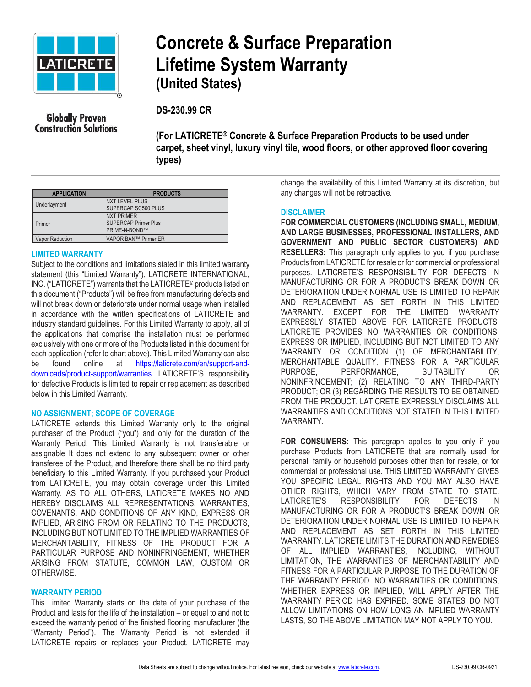

## **Concrete & Surface Preparation Lifetime System Warranty (United States)**

**DS-230.99 CR**

**Globally Proven Construction Solutions** 

**(For LATICRETE® Concrete & Surface Preparation Products to be used under carpet, sheet vinyl, luxury vinyl tile, wood floors, or other approved floor covering types)** 

| <b>APPLICATION</b>     | <b>PRODUCTS</b>                                                   |
|------------------------|-------------------------------------------------------------------|
| Underlayment           | <b>NXT LEVEL PLUS</b><br>SUPERCAP SC500 PLUS                      |
| Primer                 | <b>NXT PRIMER</b><br><b>SUPERCAP Primer Plus</b><br>PRIME-N-BOND™ |
| <b>Vapor Reduction</b> | VAPOR BAN™ Primer ER                                              |

### **LIMITED WARRANTY**

Subject to the conditions and limitations stated in this limited warranty statement (this "Limited Warranty"), LATICRETE INTERNATIONAL, INC. ("LATICRETE") warrants that the LATICRETE® products listed on this document ("Products") will be free from manufacturing defects and will not break down or deteriorate under normal usage when installed in accordance with the written specifications of LATICRETE and industry standard guidelines. For this Limited Warranty to apply, all of the applications that comprise the installation must be performed exclusively with one or more of the Products listed in this document for each application (refer to chart above). This Limited Warranty can also be found online at [https://laticrete.com/en/support-and](https://laticrete.com/en/support-and-downloads/product-support/warranties)[downloads/product-support/warranties](https://laticrete.com/en/support-and-downloads/product-support/warranties). LATICRETE'S responsibility for defective Products is limited to repair or replacement as described below in this Limited Warranty.

### **NO ASSIGNMENT; SCOPE OF COVERAGE**

LATICRETE extends this Limited Warranty only to the original purchaser of the Product ("you") and only for the duration of the Warranty Period. This Limited Warranty is not transferable or assignable It does not extend to any subsequent owner or other transferee of the Product, and therefore there shall be no third party beneficiary to this Limited Warranty. If you purchased your Product from LATICRETE, you may obtain coverage under this Limited Warranty. AS TO ALL OTHERS, LATICRETE MAKES NO AND HEREBY DISCLAIMS ALL REPRESENTATIONS, WARRANTIES, COVENANTS, AND CONDITIONS OF ANY KIND, EXPRESS OR IMPLIED, ARISING FROM OR RELATING TO THE PRODUCTS, INCLUDING BUT NOT LIMITED TO THE IMPLIED WARRANTIES OF MERCHANTABILITY, FITNESS OF THE PRODUCT FOR A PARTICULAR PURPOSE AND NONINFRINGEMENT, WHETHER ARISING FROM STATUTE, COMMON LAW, CUSTOM OR OTHERWISE.

#### **WARRANTY PERIOD**

This Limited Warranty starts on the date of your purchase of the Product and lasts for the life of the installation – or equal to and not to exceed the warranty period of the finished flooring manufacturer (the "Warranty Period"). The Warranty Period is not extended if LATICRETE repairs or replaces your Product. LATICRETE may

change the availability of this Limited Warranty at its discretion, but any changes will not be retroactive.

### **DISCLAIMER**

**FOR COMMERCIAL CUSTOMERS (INCLUDING SMALL, MEDIUM, AND LARGE BUSINESSES, PROFESSIONAL INSTALLERS, AND GOVERNMENT AND PUBLIC SECTOR CUSTOMERS) AND RESELLERS:** This paragraph only applies to you if you purchase Products from LATICRETE for resale or for commercial or professional purposes. LATICRETE'S RESPONSIBILITY FOR DEFECTS IN MANUFACTURING OR FOR A PRODUCT'S BREAK DOWN OR DETERIORATION UNDER NORMAL USE IS LIMITED TO REPAIR AND REPLACEMENT AS SET FORTH IN THIS LIMITED WARRANTY. EXCEPT FOR THE LIMITED WARRANTY EXPRESSLY STATED ABOVE FOR LATICRETE PRODUCTS, LATICRETE PROVIDES NO WARRANTIES OR CONDITIONS, EXPRESS OR IMPLIED, INCLUDING BUT NOT LIMITED TO ANY WARRANTY OR CONDITION (1) OF MERCHANTABILITY, MERCHANTABLE QUALITY, FITNESS FOR A PARTICULAR PURPOSE, PERFORMANCE, SUITABILITY OR NONINFRINGEMENT; (2) RELATING TO ANY THIRD-PARTY PRODUCT; OR (3) REGARDING THE RESULTS TO BE OBTAINED FROM THE PRODUCT. LATICRETE EXPRESSLY DISCLAIMS ALL WARRANTIES AND CONDITIONS NOT STATED IN THIS LIMITED WARRANTY.

**FOR CONSUMERS:** This paragraph applies to you only if you purchase Products from LATICRETE that are normally used for personal, family or household purposes other than for resale, or for commercial or professional use. THIS LIMITED WARRANTY GIVES YOU SPECIFIC LEGAL RIGHTS AND YOU MAY ALSO HAVE OTHER RIGHTS, WHICH VARY FROM STATE TO STATE. LATICRETE'S RESPONSIBILITY FOR DEFECTS IN MANUFACTURING OR FOR A PRODUCT'S BREAK DOWN OR DETERIORATION UNDER NORMAL USE IS LIMITED TO REPAIR AND REPLACEMENT AS SET FORTH IN THIS LIMITED WARRANTY. LATICRETE LIMITS THE DURATION AND REMEDIES OF ALL IMPLIED WARRANTIES, INCLUDING, WITHOUT LIMITATION, THE WARRANTIES OF MERCHANTABILITY AND FITNESS FOR A PARTICULAR PURPOSE TO THE DURATION OF THE WARRANTY PERIOD. NO WARRANTIES OR CONDITIONS, WHETHER EXPRESS OR IMPLIED, WILL APPLY AFTER THE WARRANTY PERIOD HAS EXPIRED. SOME STATES DO NOT ALLOW LIMITATIONS ON HOW LONG AN IMPLIED WARRANTY LASTS, SO THE ABOVE LIMITATION MAY NOT APPLY TO YOU.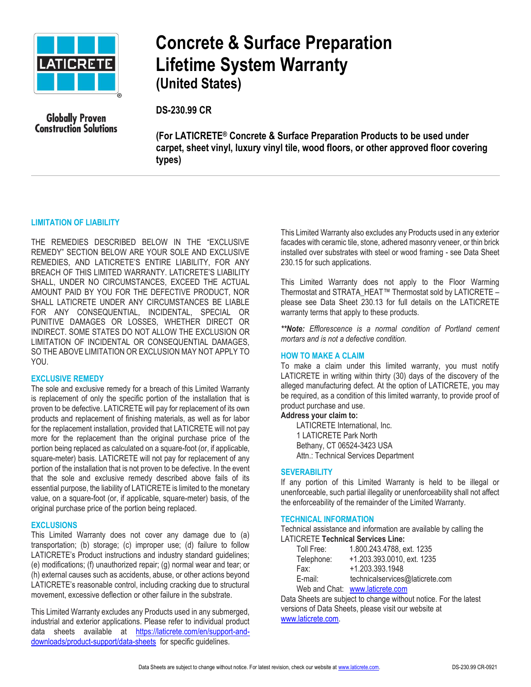

## **Concrete & Surface Preparation Lifetime System Warranty (United States)**

**Globally Proven Construction Solutions**  **DS-230.99 CR**

**(For LATICRETE® Concrete & Surface Preparation Products to be used under carpet, sheet vinyl, luxury vinyl tile, wood floors, or other approved floor covering types)** 

### **LIMITATION OF LIABILITY**

THE REMEDIES DESCRIBED BELOW IN THE "EXCLUSIVE REMEDY" SECTION BELOW ARE YOUR SOLE AND EXCLUSIVE REMEDIES, AND LATICRETE'S ENTIRE LIABILITY, FOR ANY BREACH OF THIS LIMITED WARRANTY. LATICRETE'S LIABILITY SHALL, UNDER NO CIRCUMSTANCES, EXCEED THE ACTUAL AMOUNT PAID BY YOU FOR THE DEFECTIVE PRODUCT, NOR SHALL LATICRETE UNDER ANY CIRCUMSTANCES BE LIABLE FOR ANY CONSEQUENTIAL, INCIDENTAL, SPECIAL OR PUNITIVE DAMAGES OR LOSSES, WHETHER DIRECT OR INDIRECT. SOME STATES DO NOT ALLOW THE EXCLUSION OR LIMITATION OF INCIDENTAL OR CONSEQUENTIAL DAMAGES, SO THE ABOVE LIMITATION OR EXCLUSION MAY NOT APPLY TO YOU.

#### **EXCLUSIVE REMEDY**

The sole and exclusive remedy for a breach of this Limited Warranty is replacement of only the specific portion of the installation that is proven to be defective. LATICRETE will pay for replacement of its own products and replacement of finishing materials, as well as for labor for the replacement installation, provided that LATICRETE will not pay more for the replacement than the original purchase price of the portion being replaced as calculated on a square-foot (or, if applicable, square-meter) basis. LATICRETE will not pay for replacement of any portion of the installation that is not proven to be defective. In the event that the sole and exclusive remedy described above fails of its essential purpose, the liability of LATICRETE is limited to the monetary value, on a square-foot (or, if applicable, square-meter) basis, of the original purchase price of the portion being replaced.

#### **EXCLUSIONS**

This Limited Warranty does not cover any damage due to (a) transportation; (b) storage; (c) improper use; (d) failure to follow LATICRETE's Product instructions and industry standard guidelines; (e) modifications; (f) unauthorized repair; (g) normal wear and tear; or (h) external causes such as accidents, abuse, or other actions beyond LATICRETE's reasonable control, including cracking due to structural movement, excessive deflection or other failure in the substrate.

This Limited Warranty excludes any Products used in any submerged, industrial and exterior applications. Please refer to individual product data sheets available at [https://laticrete.com/en/support-and](https://laticrete.com/en/support-and-downloads/product-support/data-sheets)[downloads/product-support/data-sheets](https://laticrete.com/en/support-and-downloads/product-support/data-sheets) for specific guidelines.

This Limited Warranty also excludes any Products used in any exterior facades with ceramic tile, stone, adhered masonry veneer, or thin brick installed over substrates with steel or wood framing - see Data Sheet 230.15 for such applications.

This Limited Warranty does not apply to the Floor Warming Thermostat and STRATA\_HEAT™ Thermostat sold by LATICRETE – please see Data Sheet 230.13 for full details on the LATICRETE warranty terms that apply to these products.

*\*\*Note: Efflorescence is a normal condition of Portland cement mortars and is not a defective condition.* 

#### **HOW TO MAKE A CLAIM**

To make a claim under this limited warranty, you must notify LATICRETE in writing within thirty (30) days of the discovery of the alleged manufacturing defect. At the option of LATICRETE, you may be required, as a condition of this limited warranty, to provide proof of product purchase and use.

#### **Address your claim to:**

LATICRETE International, Inc. 1 LATICRETE Park North Bethany, CT 06524-3423 USA Attn.: Technical Services Department

#### **SEVERABILITY**

If any portion of this Limited Warranty is held to be illegal or unenforceable, such partial illegality or unenforceability shall not affect the enforceability of the remainder of the Limited Warranty.

#### **TECHNICAL INFORMATION**

Technical assistance and information are available by calling the LATICRETE **Technical Services Line:** 

| Toll Free: | 1.800.243.4788, ext. 1235       |
|------------|---------------------------------|
| Telephone: | +1.203.393.0010, ext. 1235      |
| Fax:       | +1.203.393.1948                 |
| E-mail:    | technicalservices@laticrete.com |
|            |                                 |

Web and Chat: [www.laticrete.com](http://www.laticrete.com/)

Data Sheets are subject to change without notice. For the latest versions of Data Sheets, please visit our website at [www.laticrete.com.](http://www.laticrete.com/)